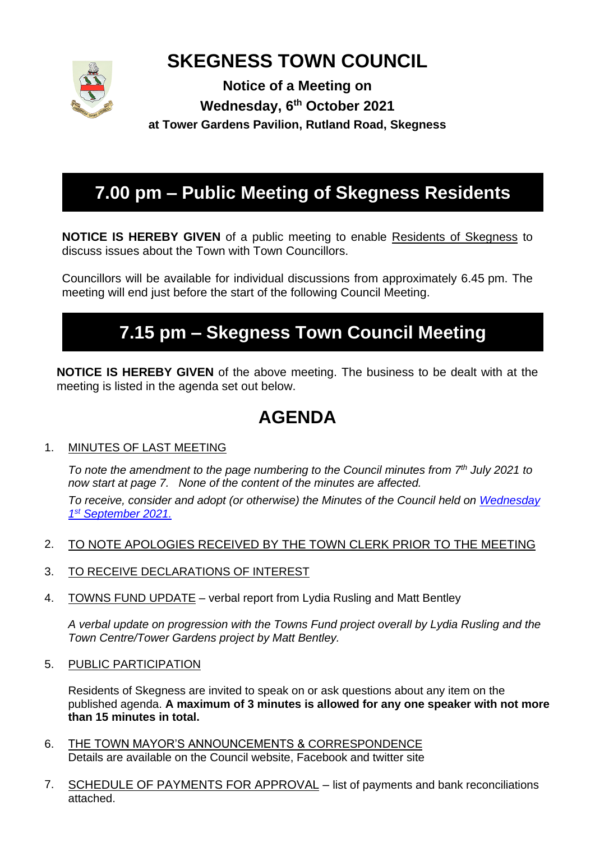

# **SKEGNESS TOWN COUNCIL**

**Notice of a Meeting on Wednesday, 6 th October 2021 at Tower Gardens Pavilion, Rutland Road, Skegness**

# **7.00 pm – Public Meeting of Skegness Residents**

**NOTICE IS HEREBY GIVEN** of a public meeting to enable Residents of Skegness to discuss issues about the Town with Town Councillors.

Councillors will be available for individual discussions from approximately 6.45 pm. The meeting will end just before the start of the following Council Meeting.

# **7.15 pm – Skegness Town Council Meeting**

**NOTICE IS HEREBY GIVEN** of the above meeting. The business to be dealt with at the meeting is listed in the agenda set out below.

# **AGENDA**

### 1. MINUTES OF LAST MEETING

*To note the amendment to the page numbering to the Council minutes from 7th July 2021 to now start at page 7. None of the content of the minutes are affected.*

*To receive, consider and adopt (or otherwise) the Minutes of the Council held on [Wednesday](https://www.skegness.gov.uk/uploads/minsdraft-council-2021-09-01.pdf)  1 st [September 2021.](https://www.skegness.gov.uk/uploads/minsdraft-council-2021-09-01.pdf)*

- 2. TO NOTE APOLOGIES RECEIVED BY THE TOWN CLERK PRIOR TO THE MEETING
- 3. TO RECEIVE DECLARATIONS OF INTEREST
- 4. TOWNS FUND UPDATE verbal report from Lydia Rusling and Matt Bentley

*A verbal update on progression with the Towns Fund project overall by Lydia Rusling and the Town Centre/Tower Gardens project by Matt Bentley.* 

5. PUBLIC PARTICIPATION

Residents of Skegness are invited to speak on or ask questions about any item on the published agenda. **A maximum of 3 minutes is allowed for any one speaker with not more than 15 minutes in total.**

- 6. THE TOWN MAYOR'S ANNOUNCEMENTS & CORRESPONDENCE Details are available on the Council website, Facebook and twitter site
- 7. SCHEDULE OF PAYMENTS FOR APPROVAL list of payments and bank reconciliations attached.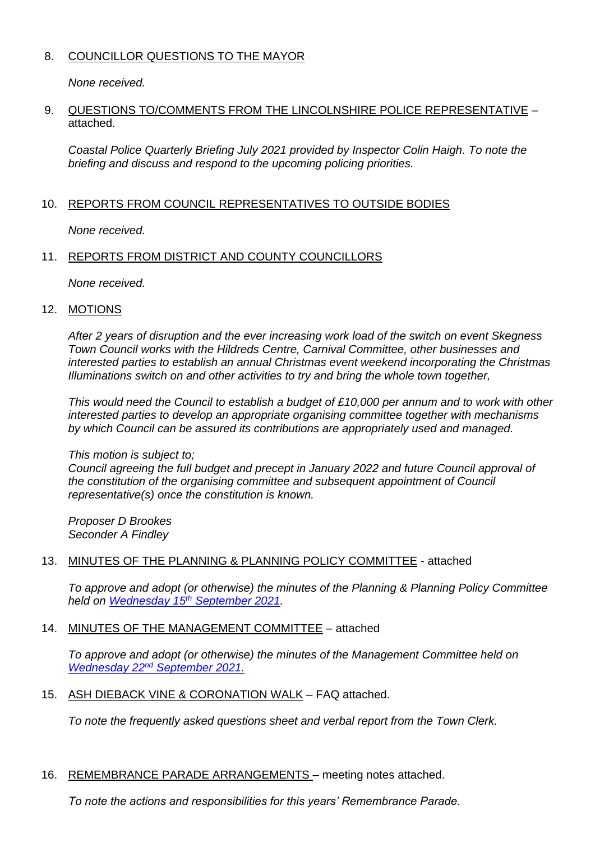#### 8. COUNCILLOR QUESTIONS TO THE MAYOR

*None received.*

#### 9. QUESTIONS TO/COMMENTS FROM THE LINCOLNSHIRE POLICE REPRESENTATIVE – attached.

*Coastal Police Quarterly Briefing July 2021 provided by Inspector Colin Haigh. To note the briefing and discuss and respond to the upcoming policing priorities.*

#### 10. REPORTS FROM COUNCIL REPRESENTATIVES TO OUTSIDE BODIES

*None received.*

#### 11. REPORTS FROM DISTRICT AND COUNTY COUNCILLORS

*None received.*

#### 12. MOTIONS

*After 2 years of disruption and the ever increasing work load of the switch on event Skegness Town Council works with the Hildreds Centre, Carnival Committee, other businesses and interested parties to establish an annual Christmas event weekend incorporating the Christmas Illuminations switch on and other activities to try and bring the whole town together,*

*This would need the Council to establish a budget of £10,000 per annum and to work with other interested parties to develop an appropriate organising committee together with mechanisms by which Council can be assured its contributions are appropriately used and managed.*

#### *This motion is subject to;*

*Council agreeing the full budget and precept in January 2022 and future Council approval of the constitution of the organising committee and subsequent appointment of Council representative(s) once the constitution is known.*

*Proposer D Brookes Seconder A Findley*

#### 13. MINUTES OF THE PLANNING & PLANNING POLICY COMMITTEE - attached

*To approve and adopt (or otherwise) the minutes of the Planning & Planning Policy Committee held on Wednesday 15th [September 2021.](https://www.skegness.gov.uk/uploads/minsdraft-planning-pp-2021-09-16.pdf)*

#### 14. MINUTES OF THE MANAGEMENT COMMITTEE – attached

*To approve and adopt (or otherwise) the minutes of the Management Committee held on Wednesday 22nd [September 2021.](https://www.skegness.gov.uk/uploads/minutesdraft-management-2021-09-22.pdf)*

15. ASH DIEBACK VINE & CORONATION WALK – FAQ attached.

*To note the frequently asked questions sheet and verbal report from the Town Clerk.*

16. REMEMBRANCE PARADE ARRANGEMENTS – meeting notes attached.

*To note the actions and responsibilities for this years' Remembrance Parade.*